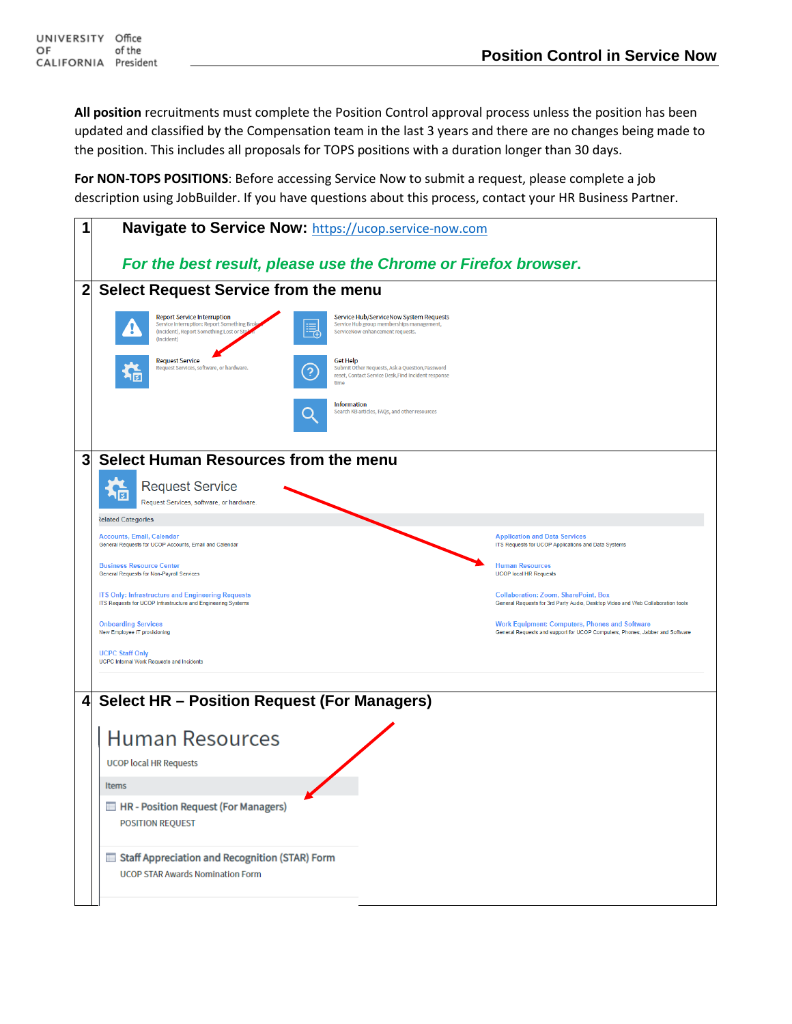**All position** recruitments must complete the Position Control approval process unless the position has been updated and classified by the Compensation team in the last 3 years and there are no changes being made to the position. This includes all proposals for TOPS positions with a duration longer than 30 days.

**For NON-TOPS POSITIONS**: Before accessing Service Now to submit a request, please complete a job description using JobBuilder. If you have questions about this process, contact your HR Business Partner.

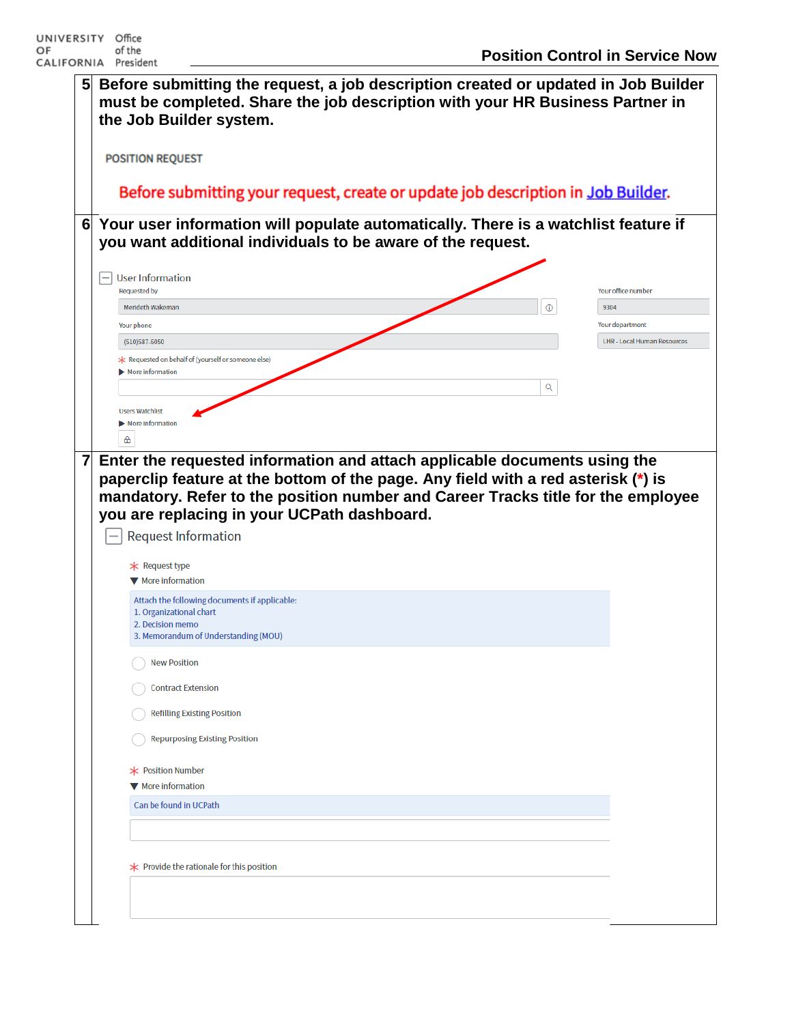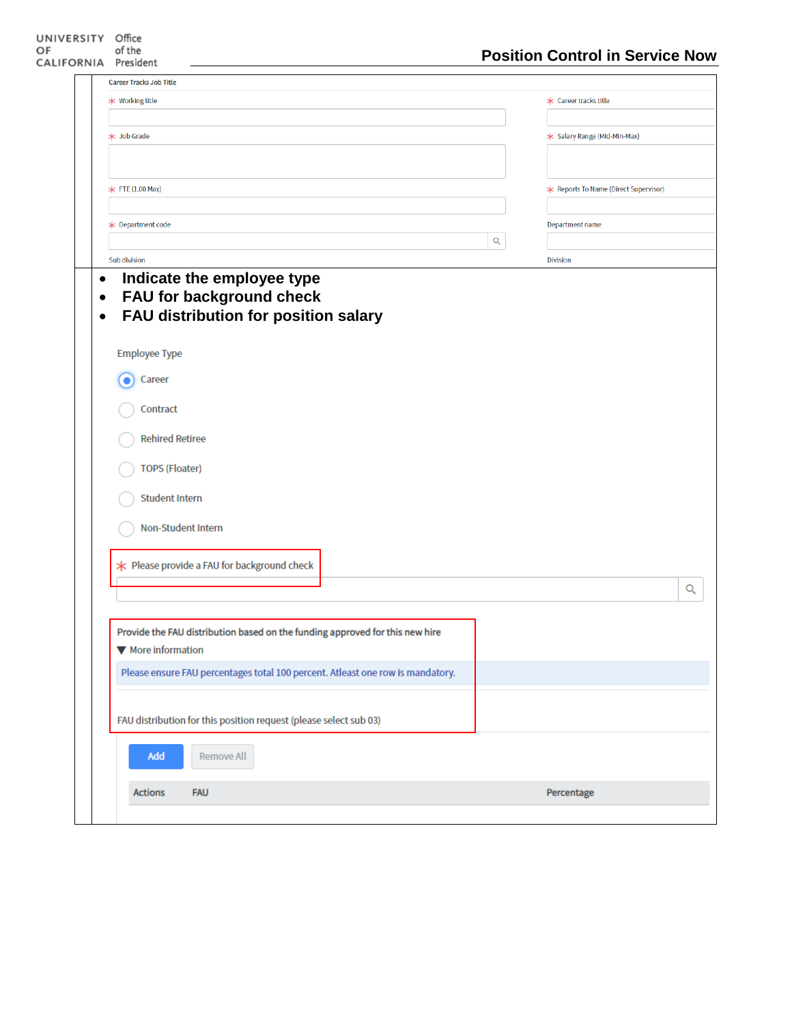| <b>Career Tracks Job Title</b>                                                                                         |             |                                       |   |
|------------------------------------------------------------------------------------------------------------------------|-------------|---------------------------------------|---|
| * Working title                                                                                                        |             | * Career tracks title                 |   |
|                                                                                                                        |             |                                       |   |
| * Job Grade                                                                                                            |             | * Salary Range (Mid-Min-Max)          |   |
|                                                                                                                        |             |                                       |   |
| $*$ FTE (1.00 Max)                                                                                                     |             | * Reports To Name (Direct Supervisor) |   |
|                                                                                                                        |             |                                       |   |
| <b>★ Department code</b>                                                                                               |             | Department name                       |   |
|                                                                                                                        | $\mathsf Q$ |                                       |   |
| Sub division                                                                                                           |             | <b>Division</b>                       |   |
| Indicate the employee type<br>FAU for background check<br>FAU distribution for position salary<br><b>Employee Type</b> |             |                                       |   |
| Career                                                                                                                 |             |                                       |   |
| Contract                                                                                                               |             |                                       |   |
| <b>Rehired Retiree</b>                                                                                                 |             |                                       |   |
| <b>TOPS (Floater)</b>                                                                                                  |             |                                       |   |
| <b>Student Intern</b>                                                                                                  |             |                                       |   |
| Non-Student Intern                                                                                                     |             |                                       |   |
| * Please provide a FAU for background check                                                                            |             |                                       |   |
|                                                                                                                        |             |                                       | Q |
| Provide the FAU distribution based on the funding approved for this new hire<br>▼ More information                     |             |                                       |   |
| Please ensure FAU percentages total 100 percent. Atleast one row is mandatory.                                         |             |                                       |   |
| FAU distribution for this position request (please select sub 03)                                                      |             |                                       |   |
| Add<br>Remove All                                                                                                      |             |                                       |   |
| <b>FAU</b><br><b>Actions</b>                                                                                           |             | Percentage                            |   |
|                                                                                                                        |             |                                       |   |